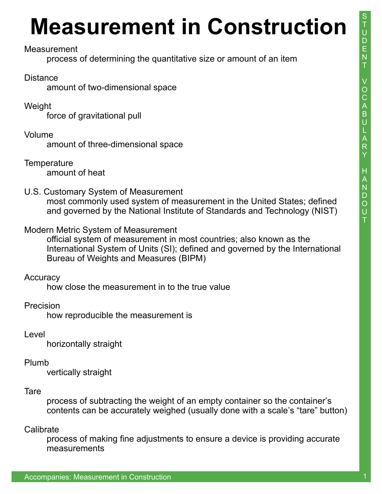## **Measurement in Construction**

#### Measurement

process of determining the quantitative size or amount of an item

#### Distance

amount of two-dimensional space

Weight

force of gravitational pull

Volume

amount of three-dimensional space

**Temperature** amount of heat

U.S. Customary System of Measurement

most commonly used system of measurement in the United States; defined and governed by the National Institute of Standards and Technology (NIST)

### Modern Metric System of Measurement

official system of measurement in most countries; also known as the International System of Units (SI); defined and governed by the International Bureau of Weights and Measures (BIPM)

#### **Accuracy**

how close the measurement in to the true value

## Precision

how reproducible the measurement is

Level

horizontally straight

#### Plumb

vertically straight

#### **Tare**

process of subtracting the weight of an empty container so the container's contents can be accurately weighed (usually done with a scale's "tare" button)

#### **Calibrate**

process of making fine adjustments to ensure a device is providing accurate measurements